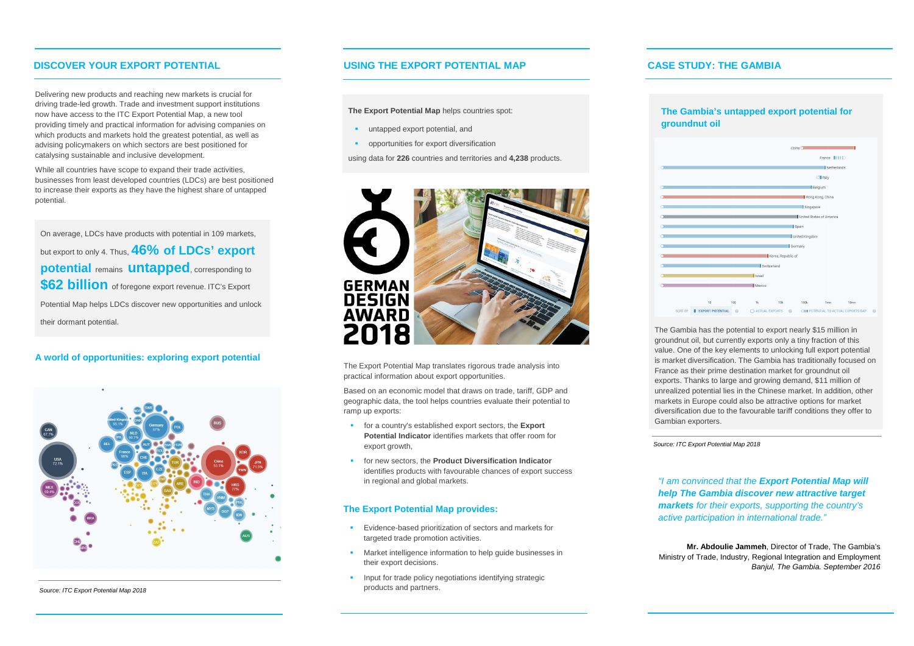Delivering new products and reaching new markets is crucial for driving trade-led growth. Trade and investment support institutions now have access to the ITC Export Potential Map, a new tool providing timely and practical information for advising companies on which products and markets hold the greatest potential, as well as advising policymakers on which sectors are best positioned for catalysing sustainable and inclusive development.

- **Evidence-based prioritization of sectors and markets for** targeted trade promotion activities.
- **Market intelligence information to help guide businesses in** their export decisions.
- **Input for trade policy negotiations identifying strategic** products and partners.

While all countries have scope to expand their trade activities, businesses from least developed countries (LDCs) are best positioned to increase their exports as they have the highest share of untapped potential.

### **A world of opportunities: exploring export potential**

### **The Export Potential Map provides:**

# **The Gambia's untapped export potential for grad** oil

**The Export Potential Map** helps countries spot:

- **untapped export potential, and**
- **•** opportunities for export diversification

using data for **226** countries and territories and **4,238** products.



On average, LDCs have products with potential in 109 markets, but export to only 4. Thus, **46% of LDCs' export potential** remains **untapped**, corresponding to **\$62 billion** of foregone export revenue. ITC's Export Potential Map helps LDCs discover new opportunities and unlock their dormant potential.

# **CASE STUDY: THE GAMBIA**

| <b>The Ga</b>                    |
|----------------------------------|
| <b>ground</b>                    |
|                                  |
|                                  |
|                                  |
|                                  |
|                                  |
| $\bullet$ $\bullet$              |
| $\bullet$ . The set of $\bullet$ |
|                                  |
| $\circ$                          |
| $\bullet$ . The set of $\bullet$ |
|                                  |

The Gambia has the potential to export nearly \$15 million in groundnut oil, but currently exports only a tiny fraction of this value. One of the key elements to unlocking full export potential is market diversification. The Gambia has traditionally focused on France as their prime destination market for groundnut oil exports. Thanks to large and growing demand, \$11 million of unrealized potential lies in the Chinese market. In addition, other markets in Europe could also be attractive options for market diversification due to the favourable tariff conditions they offer to

Gambian exporters.

*"I am convinced that the Export Potential Map will help The Gambia discover new attractive target markets for their exports, supporting the country's active participation in international trade."*

**Mr. Abdoulie Jammeh**, Director of Trade, The Gambia's Ministry of Trade, Industry, Regional Integration and Employment *Banjul, The Gambia. September 2016*



The Export Potential Map translates rigorous trade analysis into practical information about export opportunities.

Based on an economic model that draws on trade, tariff, GDP and geographic data, the tool helps countries evaluate their potential to ramp up exports:

- for a country's established export sectors, the **Export Potential Indicator** identifies markets that offer room for export growth,
- **for new sectors, the Product Diversification Indicator** identifies products with favourable chances of export success in regional and global markets.

# **DISCOVER YOUR EXPORT POTENTIAL USING THE EXPORT POTENTIAL MAP**

*Source: ITC Export Potential Map 2018*



*Source: ITC Export Potential Map 2018*